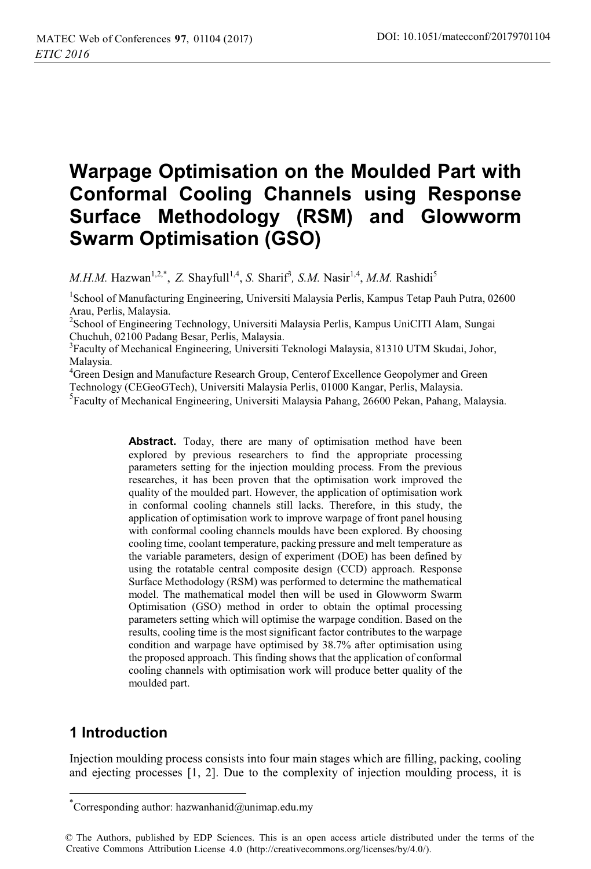# **Warpage Optimisation on the Moulded Part with Conformal Cooling Channels using Response Surface Methodology (RSM) and Glowworm Swarm Optimisation (GSO)**

*M.H.M.* Hazwan<sup>1,2,\*</sup>, *Z. Shayfull<sup>1,4</sup>, <i>S. Sharif<sup>3</sup>, S.M. Nasir<sup>1,4</sup>, M.M. Rashidi<sup>5</sup>* 

<sup>1</sup>School of Manufacturing Engineering, Universiti Malaysia Perlis, Kampus Tetap Pauh Putra, 02600 Arau, Perlis, Malaysia.

<sup>2</sup>School of Engineering Technology, Universiti Malaysia Perlis, Kampus UniCITI Alam, Sungai Chuchuh, 02100 Padang Besar, Perlis, Malaysia.

3 Faculty of Mechanical Engineering, Universiti Teknologi Malaysia, 81310 UTM Skudai, Johor, Malaysia.

<sup>4</sup> Green Design and Manufacture Research Group, Centerof Excellence Geopolymer and Green Technology (CEGeoGTech), Universiti Malaysia Perlis, 01000 Kangar, Perlis, Malaysia.

5 Faculty of Mechanical Engineering, Universiti Malaysia Pahang, 26600 Pekan, Pahang, Malaysia.

**Abstract.** Today, there are many of optimisation method have been explored by previous researchers to find the appropriate processing parameters setting for the injection moulding process. From the previous researches, it has been proven that the optimisation work improved the quality of the moulded part. However, the application of optimisation work in conformal cooling channels still lacks. Therefore, in this study, the application of optimisation work to improve warpage of front panel housing with conformal cooling channels moulds have been explored. By choosing cooling time, coolant temperature, packing pressure and melt temperature as the variable parameters, design of experiment (DOE) has been defined by using the rotatable central composite design (CCD) approach. Response Surface Methodology (RSM) was performed to determine the mathematical model. The mathematical model then will be used in Glowworm Swarm Optimisation (GSO) method in order to obtain the optimal processing parameters setting which will optimise the warpage condition. Based on the results, cooling time is the most significant factor contributes to the warpage condition and warpage have optimised by 38.7% after optimisation using the proposed approach. This finding shows that the application of conformal cooling channels with optimisation work will produce better quality of the moulded part.

# **1 Introduction**

 $\overline{a}$ 

Injection moulding process consists into four main stages which are filling, packing, cooling and ejecting processes  $[1, 2]$ . Due to the complexity of injection moulding process, it is

<sup>\*</sup> Corresponding author: hazwanhanid@unimap.edu.my

<sup>©</sup> The Authors, published by EDP Sciences. This is an open access article distributed under the terms of the Creative Commons Attribution License 4.0 (http://creativecommons.org/licenses/by/4.0/).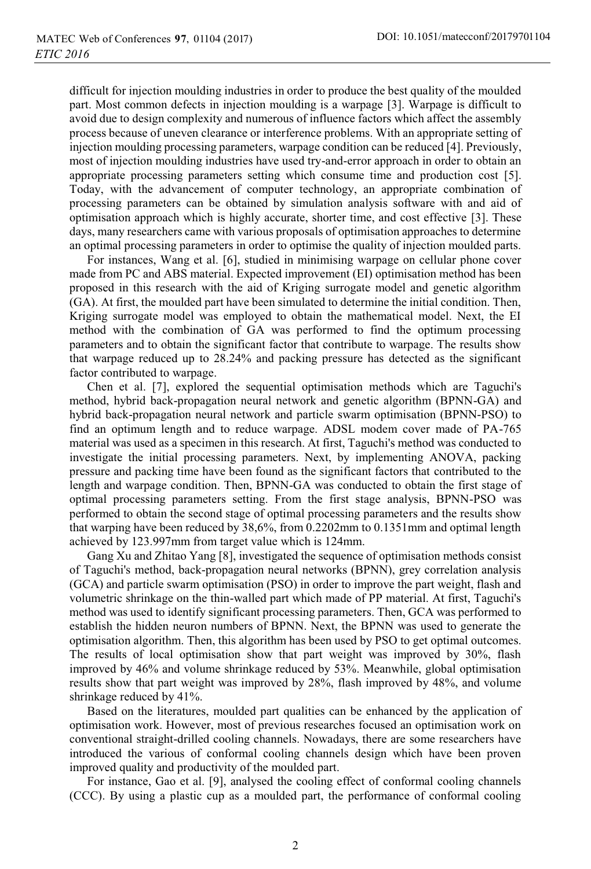difficult for injection moulding industries in order to produce the best quality of the moulded part. Most common defects in injection moulding is a warpage [3]. Warpage is difficult to avoid due to design complexity and numerous of influence factors which affect the assembly process because of uneven clearance or interference problems. With an appropriate setting of injection moulding processing parameters, warpage condition can be reduced [4]. Previously, most of injection moulding industries have used try-and-error approach in order to obtain an appropriate processing parameters setting which consume time and production cost [5]. Today, with the advancement of computer technology, an appropriate combination of processing parameters can be obtained by simulation analysis software with and aid of optimisation approach which is highly accurate, shorter time, and cost effective [3]. These days, many researchers came with various proposals of optimisation approaches to determine an optimal processing parameters in order to optimise the quality of injection moulded parts.

For instances, Wang et al. [6], studied in minimising warpage on cellular phone cover made from PC and ABS material. Expected improvement (EI) optimisation method has been proposed in this research with the aid of Kriging surrogate model and genetic algorithm (GA). At first, the moulded part have been simulated to determine the initial condition. Then, Kriging surrogate model was employed to obtain the mathematical model. Next, the EI method with the combination of GA was performed to find the optimum processing parameters and to obtain the significant factor that contribute to warpage. The results show that warpage reduced up to 28.24% and packing pressure has detected as the significant factor contributed to warpage.

Chen et al. [7], explored the sequential optimisation methods which are Taguchi's method, hybrid back-propagation neural network and genetic algorithm (BPNN-GA) and hybrid back-propagation neural network and particle swarm optimisation (BPNN-PSO) to find an optimum length and to reduce warpage. ADSL modem cover made of PA-765 material was used as a specimen in this research. At first, Taguchi's method was conducted to investigate the initial processing parameters. Next, by implementing ANOVA, packing pressure and packing time have been found as the significant factors that contributed to the length and warpage condition. Then, BPNN-GA was conducted to obtain the first stage of optimal processing parameters setting. From the first stage analysis, BPNN-PSO was performed to obtain the second stage of optimal processing parameters and the results show that warping have been reduced by 38,6%, from 0.2202mm to 0.1351mm and optimal length achieved by 123.997mm from target value which is 124mm.

Gang Xu and Zhitao Yang [8], investigated the sequence of optimisation methods consist of Taguchi's method, back-propagation neural networks (BPNN), grey correlation analysis (GCA) and particle swarm optimisation (PSO) in order to improve the part weight, flash and volumetric shrinkage on the thin-walled part which made of PP material. At first, Taguchi's method was used to identify significant processing parameters. Then, GCA was performed to establish the hidden neuron numbers of BPNN. Next, the BPNN was used to generate the optimisation algorithm. Then, this algorithm has been used by PSO to get optimal outcomes. The results of local optimisation show that part weight was improved by 30%, flash improved by 46% and volume shrinkage reduced by 53%. Meanwhile, global optimisation results show that part weight was improved by 28%, flash improved by 48%, and volume shrinkage reduced by 41%.

Based on the literatures, moulded part qualities can be enhanced by the application of optimisation work. However, most of previous researches focused an optimisation work on conventional straight-drilled cooling channels. Nowadays, there are some researchers have introduced the various of conformal cooling channels design which have been proven improved quality and productivity of the moulded part.

For instance, Gao et al. [9], analysed the cooling effect of conformal cooling channels (CCC). By using a plastic cup as a moulded part, the performance of conformal cooling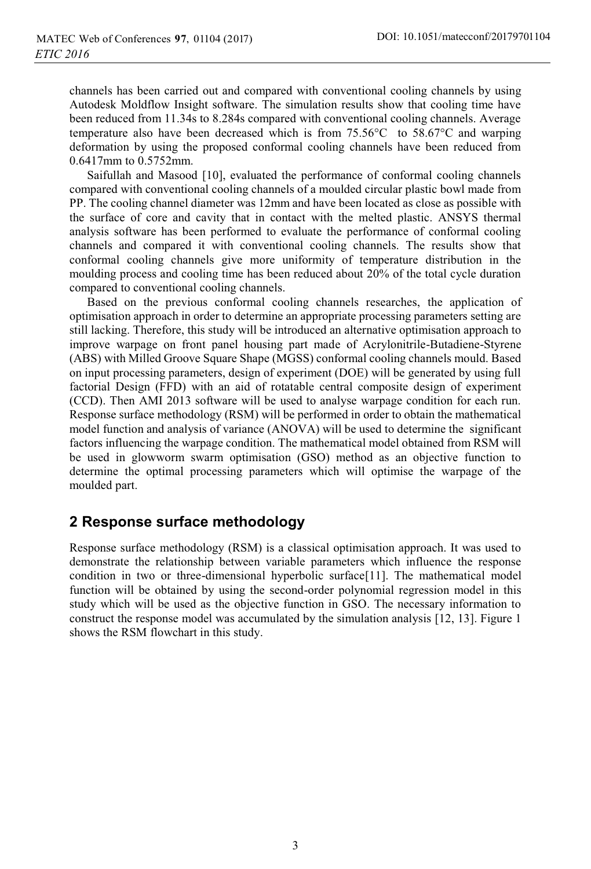channels has been carried out and compared with conventional cooling channels by using Autodesk Moldflow Insight software. The simulation results show that cooling time have been reduced from 11.34s to 8.284s compared with conventional cooling channels. Average temperature also have been decreased which is from 75.56°C to 58.67°C and warping deformation by using the proposed conformal cooling channels have been reduced from 0.6417mm to 0.5752mm.

Saifullah and Masood [10], evaluated the performance of conformal cooling channels compared with conventional cooling channels of a moulded circular plastic bowl made from PP. The cooling channel diameter was 12mm and have been located as close as possible with the surface of core and cavity that in contact with the melted plastic. ANSYS thermal analysis software has been performed to evaluate the performance of conformal cooling channels and compared it with conventional cooling channels. The results show that conformal cooling channels give more uniformity of temperature distribution in the moulding process and cooling time has been reduced about 20% of the total cycle duration compared to conventional cooling channels.

Based on the previous conformal cooling channels researches, the application of optimisation approach in order to determine an appropriate processing parameters setting are still lacking. Therefore, this study will be introduced an alternative optimisation approach to improve warpage on front panel housing part made of Acrylonitrile-Butadiene-Styrene (ABS) with Milled Groove Square Shape (MGSS) conformal cooling channels mould. Based on input processing parameters, design of experiment (DOE) will be generated by using full factorial Design (FFD) with an aid of rotatable central composite design of experiment (CCD). Then AMI 2013 software will be used to analyse warpage condition for each run. Response surface methodology (RSM) will be performed in order to obtain the mathematical model function and analysis of variance (ANOVA) will be used to determine the significant factors influencing the warpage condition. The mathematical model obtained from RSM will be used in glowworm swarm optimisation (GSO) method as an objective function to determine the optimal processing parameters which will optimise the warpage of the moulded part.

# **2 Response surface methodology**

Response surface methodology (RSM) is a classical optimisation approach. It was used to demonstrate the relationship between variable parameters which influence the response condition in two or three-dimensional hyperbolic surface[11]. The mathematical model function will be obtained by using the second-order polynomial regression model in this study which will be used as the objective function in GSO. The necessary information to construct the response model was accumulated by the simulation analysis [12, 13]. Figure 1 shows the RSM flowchart in this study.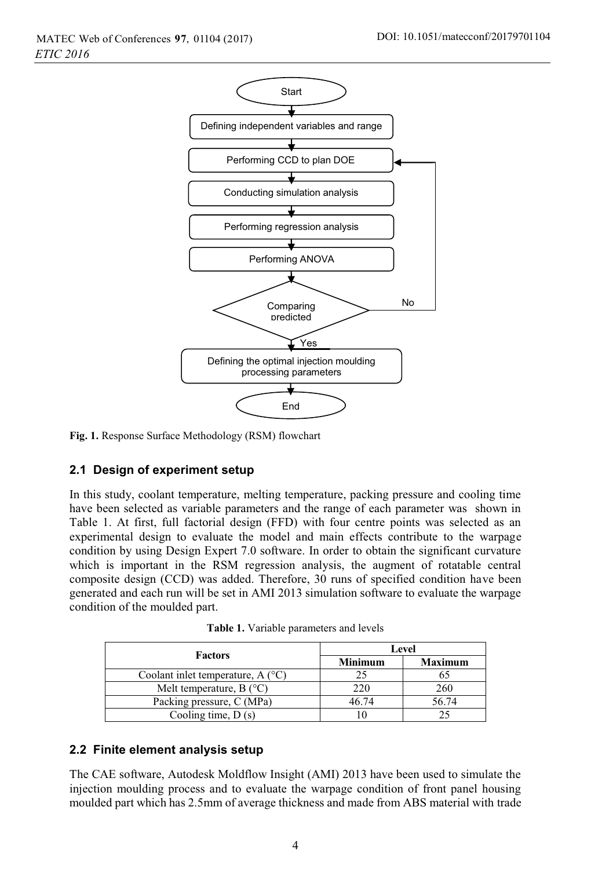

**Fig. 1.** Response Surface Methodology (RSM) flowchart

### **2.1 Design of experiment setup**

In this study, coolant temperature, melting temperature, packing pressure and cooling time have been selected as variable parameters and the range of each parameter was shown in Table 1. At first, full factorial design (FFD) with four centre points was selected as an experimental design to evaluate the model and main effects contribute to the warpage condition by using Design Expert 7.0 software. In order to obtain the significant curvature which is important in the RSM regression analysis, the augment of rotatable central composite design (CCD) was added. Therefore, 30 runs of specified condition have been generated and each run will be set in AMI 2013 simulation software to evaluate the warpage condition of the moulded part.

|                                           | Level          |                |  |
|-------------------------------------------|----------------|----------------|--|
| <b>Factors</b>                            | <b>Minimum</b> | <b>Maximum</b> |  |
| Coolant inlet temperature, $A(^{\circ}C)$ | 25             |                |  |
| Melt temperature, B $(^{\circ}C)$         | 220            | 260            |  |
| Packing pressure, C (MPa)                 | 46.74          | 56.74          |  |
| Cooling time, $D(s)$                      |                |                |  |

**Table 1.** Variable parameters and levels

### **2.2 Finite element analysis setup**

The CAE software, Autodesk Moldflow Insight (AMI) 2013 have been used to simulate the injection moulding process and to evaluate the warpage condition of front panel housing moulded part which has 2.5mm of average thickness and made from ABS material with trade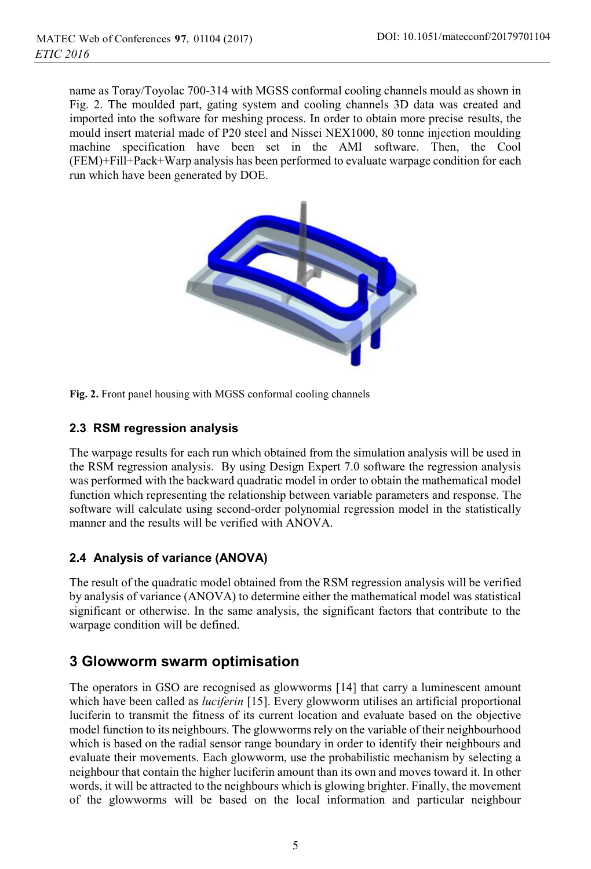name as Toray/Toyolac 700-314 with MGSS conformal cooling channels mould as shown in Fig. 2. The moulded part, gating system and cooling channels 3D data was created and imported into the software for meshing process. In order to obtain more precise results, the mould insert material made of P20 steel and Nissei NEX1000, 80 tonne injection moulding machine specification have been set in the AMI software. Then, the Cool (FEM)+Fill+Pack+Warp analysis has been performed to evaluate warpage condition for each run which have been generated by DOE.



**Fig. 2.** Front panel housing with MGSS conformal cooling channels

### **2.3 RSM regression analysis**

The warpage results for each run which obtained from the simulation analysis will be used in the RSM regression analysis. By using Design Expert 7.0 software the regression analysis was performed with the backward quadratic model in order to obtain the mathematical model function which representing the relationship between variable parameters and response. The software will calculate using second-order polynomial regression model in the statistically manner and the results will be verified with ANOVA.

## **2.4 Analysis of variance (ANOVA)**

The result of the quadratic model obtained from the RSM regression analysis will be verified by analysis of variance (ANOVA) to determine either the mathematical model was statistical significant or otherwise. In the same analysis, the significant factors that contribute to the warpage condition will be defined.

# **3 Glowworm swarm optimisation**

The operators in GSO are recognised as glowworms [14] that carry a luminescent amount which have been called as *luciferin* [15]. Every glowworm utilises an artificial proportional luciferin to transmit the fitness of its current location and evaluate based on the objective model function to its neighbours. The glowworms rely on the variable of their neighbourhood which is based on the radial sensor range boundary in order to identify their neighbours and evaluate their movements. Each glowworm, use the probabilistic mechanism by selecting a neighbour that contain the higher luciferin amount than its own and moves toward it. In other words, it will be attracted to the neighbours which is glowing brighter. Finally, the movement of the glowworms will be based on the local information and particular neighbour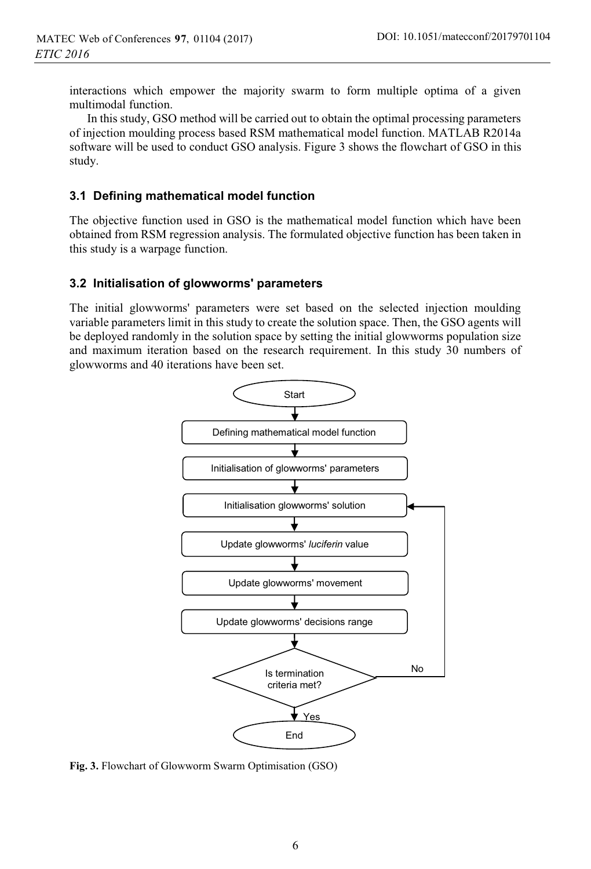interactions which empower the majority swarm to form multiple optima of a given multimodal function.

In this study, GSO method will be carried out to obtain the optimal processing parameters of injection moulding process based RSM mathematical model function. MATLAB R2014a software will be used to conduct GSO analysis. Figure 3 shows the flowchart of GSO in this study.

### **3.1 Defining mathematical model function**

The objective function used in GSO is the mathematical model function which have been obtained from RSM regression analysis. The formulated objective function has been taken in this study is a warpage function.

#### **3.2 Initialisation of glowworms' parameters**

The initial glowworms' parameters were set based on the selected injection moulding variable parameters limit in this study to create the solution space. Then, the GSO agents will be deployed randomly in the solution space by setting the initial glowworms population size and maximum iteration based on the research requirement. In this study 30 numbers of glowworms and 40 iterations have been set.



**Fig. 3.** Flowchart of Glowworm Swarm Optimisation (GSO)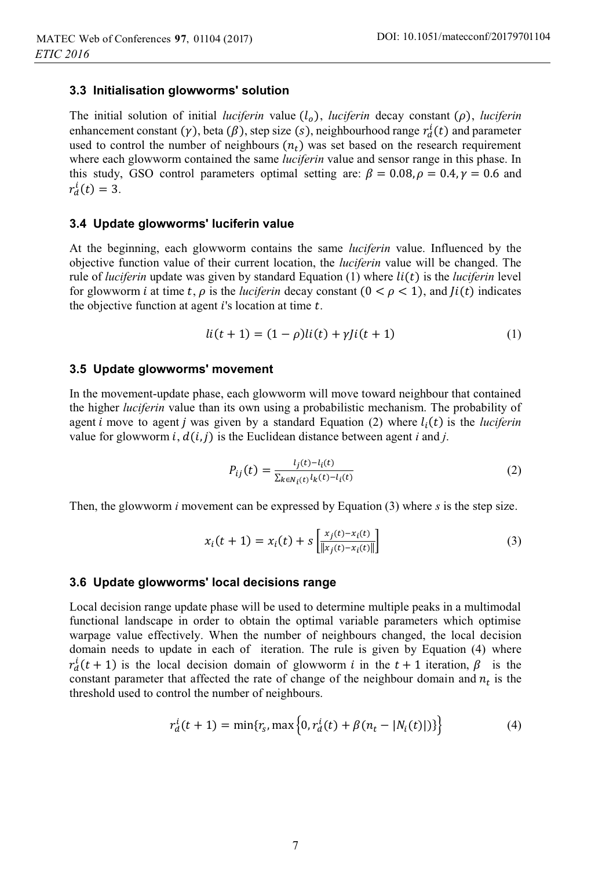#### **3.3 Initialisation glowworms' solution**

The initial solution of initial *luciferin* value  $(l_o)$ , *luciferin* decay constant  $(\rho)$ , *luciferin* enhancement constant ( $\gamma$ ), beta ( $\beta$ ), step size (s), neighbourhood range  $r_d^i(t)$  and parameter used to control the number of neighbours  $(n_t)$  was set based on the research requirement where each glowworm contained the same *luciferin* value and sensor range in this phase. In this study, GSO control parameters optimal setting are:  $\beta = 0.08$ ,  $\rho = 0.4$ ,  $\gamma = 0.6$  and  $r_d^i(t) = 3.$ 

#### **3.4 Update glowworms' luciferin value**

At the beginning, each glowworm contains the same *luciferin* value. Influenced by the objective function value of their current location, the *luciferin* value will be changed. The rule of *luciferin* update was given by standard Equation  $(1)$  where  $li(t)$  is the *luciferin* level for glowworm *i* at time t,  $\rho$  is the *luciferin* decay constant  $(0 < \rho < 1)$ , and  $J(t)$  indicates the objective function at agent  $i$ 's location at time  $t$ .

$$
li(t + 1) = (1 - \rho)li(t) + \gamma ji(t + 1)
$$
\n(1)

#### **3.5 Update glowworms' movement**

In the movement-update phase, each glowworm will move toward neighbour that contained the higher *luciferin* value than its own using a probabilistic mechanism. The probability of agent *i* move to agent *j* was given by a standard Equation (2) where  $l_i(t)$  is the *luciferin* value for glowworm  $i$ ,  $d(i, j)$  is the Euclidean distance between agent *i* and *j*.

$$
P_{ij}(t) = \frac{l_j(t) - l_i(t)}{\sum_{k \in N_i(t)} l_k(t) - l_i(t)}
$$
\n(2)

Then, the glowworm *i* movement can be expressed by Equation (3) where *s* is the step size.

$$
x_i(t+1) = x_i(t) + s \left[ \frac{x_j(t) - x_i(t)}{\| x_j(t) - x_i(t) \|} \right]
$$
 (3)

#### **3.6 Update glowworms' local decisions range**

Local decision range update phase will be used to determine multiple peaks in a multimodal functional landscape in order to obtain the optimal variable parameters which optimise warpage value effectively. When the number of neighbours changed, the local decision domain needs to update in each of iteration. The rule is given by Equation (4) where  $r_d^i(t+1)$  is the local decision domain of glowworm *i* in the  $t+1$  iteration,  $\beta$  is the constant parameter that affected the rate of change of the neighbour domain and  $n_t$  is the threshold used to control the number of neighbours.

$$
r_d^i(t+1) = \min\{r_s, \max\{0, r_d^i(t) + \beta(n_t - |N_i(t)|)\}\}
$$
(4)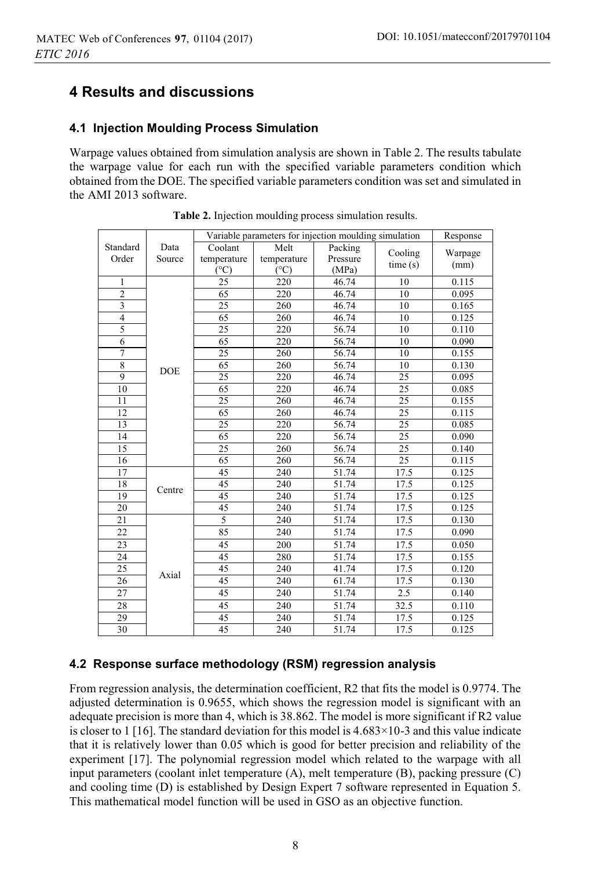# **4 Results and discussions**

#### **4.1 Injection Moulding Process Simulation**

Warpage values obtained from simulation analysis are shown in Table 2. The results tabulate the warpage value for each run with the specified variable parameters condition which obtained from the DOE. The specified variable parameters condition was set and simulated in the AMI 2013 software.

|                |            | Variable parameters for injection moulding simulation | Response    |          |         |         |
|----------------|------------|-------------------------------------------------------|-------------|----------|---------|---------|
| Standard       | Data       | Coolant                                               | Melt        | Packing  |         |         |
| Order          | Source     | temperature                                           | temperature | Pressure | Cooling | Warpage |
|                |            | (°C)                                                  | (°C)        | (MPa)    | time(s) | (mm)    |
| 1              |            | 25                                                    | 220         | 46.74    | 10      | 0.115   |
| $\overline{2}$ |            | 65                                                    | 220         | 46.74    | 10      | 0.095   |
| $\overline{3}$ |            | $\overline{25}$                                       | 260         | 46.74    | 10      | 0.165   |
| $\overline{4}$ |            | 65                                                    | 260         | 46.74    | 10      | 0.125   |
| 5              |            | 25                                                    | 220         | 56.74    | 10      | 0.110   |
| 6              |            | 65                                                    | 220         | 56.74    | 10      | 0.090   |
| $\overline{7}$ |            | 25                                                    | 260         | 56.74    | 10      | 0.155   |
| 8              |            | 65                                                    | 260         | 56.74    | 10      | 0.130   |
| 9              | <b>DOE</b> | 25                                                    | 220         | 46.74    | 25      | 0.095   |
| 10             |            | 65                                                    | 220         | 46.74    | 25      | 0.085   |
| 11             |            | 25                                                    | 260         | 46.74    | 25      | 0.155   |
| 12             |            | 65                                                    | 260         | 46.74    | 25      | 0.115   |
| 13             |            | 25                                                    | 220         | 56.74    | 25      | 0.085   |
| 14             |            | 65                                                    | 220         | 56.74    | 25      | 0.090   |
| 15             |            | 25                                                    | 260         | 56.74    | 25      | 0.140   |
| 16             |            | 65                                                    | 260         | 56.74    | 25      | 0.115   |
| 17             |            | 45                                                    | 240         | 51.74    | 17.5    | 0.125   |
| 18             |            | 45                                                    | 240         | 51.74    | 17.5    | 0.125   |
| 19             | Centre     | 45                                                    | 240         | 51.74    | 17.5    | 0.125   |
| 20             |            | 45                                                    | 240         | 51.74    | 17.5    | 0.125   |
| 21             |            | $\overline{5}$                                        | 240         | 51.74    | 17.5    | 0.130   |
| 22             |            | 85                                                    | 240         | 51.74    | 17.5    | 0.090   |
| 23             |            | 45                                                    | 200         | 51.74    | 17.5    | 0.050   |
| 24             | Axial      | 45                                                    | 280         | 51.74    | 17.5    | 0.155   |
| 25             |            | 45                                                    | 240         | 41.74    | 17.5    | 0.120   |
| 26             |            | 45                                                    | 240         | 61.74    | 17.5    | 0.130   |
| 27             |            | 45                                                    | 240         | 51.74    | 2.5     | 0.140   |
| 28             |            | 45                                                    | 240         | 51.74    | 32.5    | 0.110   |
| 29             |            | 45                                                    | 240         | 51.74    | 17.5    | 0.125   |
| 30             |            | 45                                                    | 240         | 51.74    | 17.5    | 0.125   |

**Table 2.** Injection moulding process simulation results.

### **4.2 Response surface methodology (RSM) regression analysis**

From regression analysis, the determination coefficient, R2 that fits the model is 0.9774. The adjusted determination is 0.9655, which shows the regression model is significant with an adequate precision is more than 4, which is 38.862. The model is more significant if R2 value is closer to 1 [16]. The standard deviation for this model is  $4.683 \times 10^{-3}$  and this value indicate that it is relatively lower than 0.05 which is good for better precision and reliability of the experiment [17]. The polynomial regression model which related to the warpage with all input parameters (coolant inlet temperature (A), melt temperature (B), packing pressure (C) and cooling time (D) is established by Design Expert 7 software represented in Equation 5. This mathematical model function will be used in GSO as an objective function.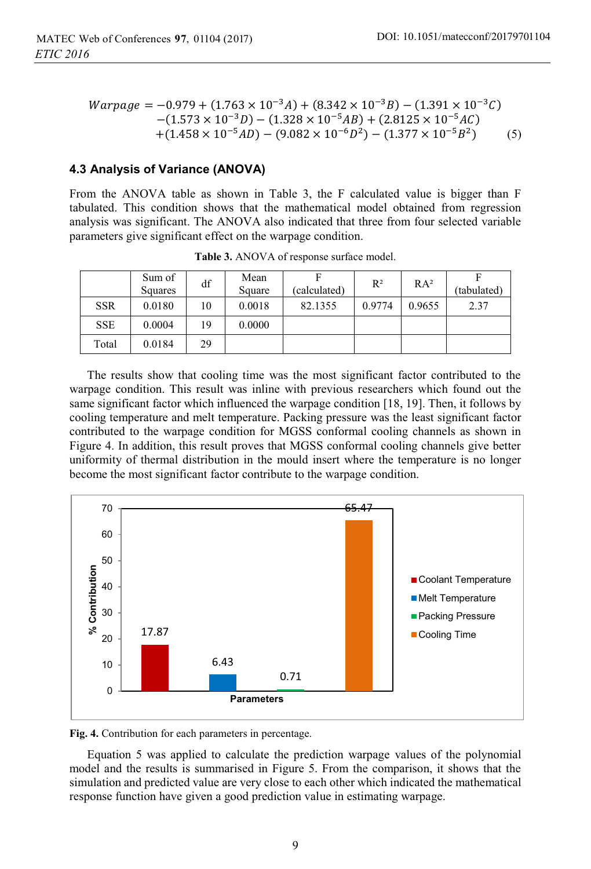$$
Warpage = -0.979 + (1.763 \times 10^{-3} A) + (8.342 \times 10^{-3} B) - (1.391 \times 10^{-3} C) - (1.573 \times 10^{-3} D) - (1.328 \times 10^{-5} AB) + (2.8125 \times 10^{-5} AC) + (1.458 \times 10^{-5} AD) - (9.082 \times 10^{-6} D^2) - (1.377 \times 10^{-5} B^2)
$$
 (5)

#### **4.3 Analysis of Variance (ANOVA)**

From the ANOVA table as shown in Table 3, the F calculated value is bigger than F tabulated. This condition shows that the mathematical model obtained from regression analysis was significant. The ANOVA also indicated that three from four selected variable parameters give significant effect on the warpage condition.

|            | Sum of<br>Squares | df | Mean<br>Square | F<br>(calculated) | $R^2$  | RA <sup>2</sup> | (tabulated) |
|------------|-------------------|----|----------------|-------------------|--------|-----------------|-------------|
| <b>SSR</b> | 0.0180            | 10 | 0.0018         | 82.1355           | 0.9774 | 0.9655          | 2.37        |
| <b>SSE</b> | 0.0004            | 19 | 0.0000         |                   |        |                 |             |
| Total      | 0.0184            | 29 |                |                   |        |                 |             |

**Table 3.** ANOVA of response surface model.

The results show that cooling time was the most significant factor contributed to the warpage condition. This result was inline with previous researchers which found out the same significant factor which influenced the warpage condition [18, 19]. Then, it follows by cooling temperature and melt temperature. Packing pressure was the least significant factor contributed to the warpage condition for MGSS conformal cooling channels as shown in Figure 4. In addition, this result proves that MGSS conformal cooling channels give better uniformity of thermal distribution in the mould insert where the temperature is no longer become the most significant factor contribute to the warpage condition.



**Fig. 4.** Contribution for each parameters in percentage.

Equation 5 was applied to calculate the prediction warpage values of the polynomial model and the results is summarised in Figure 5. From the comparison, it shows that the simulation and predicted value are very close to each other which indicated the mathematical response function have given a good prediction value in estimating warpage.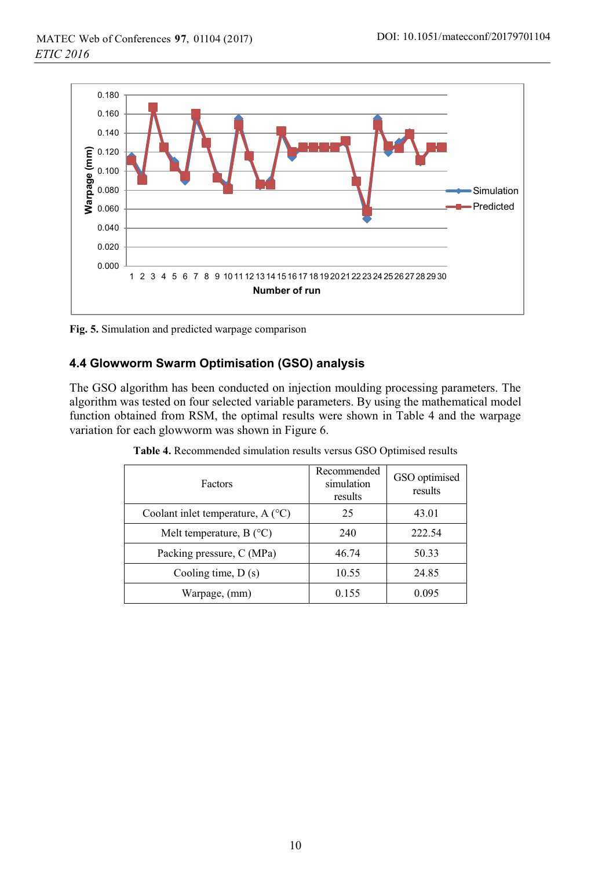

**Fig. 5.** Simulation and predicted warpage comparison

### **4.4 Glowworm Swarm Optimisation (GSO) analysis**

The GSO algorithm has been conducted on injection moulding processing parameters. The algorithm was tested on four selected variable parameters. By using the mathematical model function obtained from RSM, the optimal results were shown in Table 4 and the warpage variation for each glowworm was shown in Figure 6.

| <b>Factors</b>                            | Recommended<br>simulation<br>results | GSO optimised<br>results |  |
|-------------------------------------------|--------------------------------------|--------------------------|--|
| Coolant inlet temperature, $A(^{\circ}C)$ | 25                                   | 43.01                    |  |
| Melt temperature, $B(^{\circ}C)$          | 240                                  | 222.54                   |  |
| Packing pressure, C (MPa)                 | 46.74                                | 50.33                    |  |
| Cooling time, $D(s)$                      | 10.55                                | 24.85                    |  |
| Warpage, (mm)                             | 0.155                                | 0.095                    |  |

**Table 4.** Recommended simulation results versus GSO Optimised results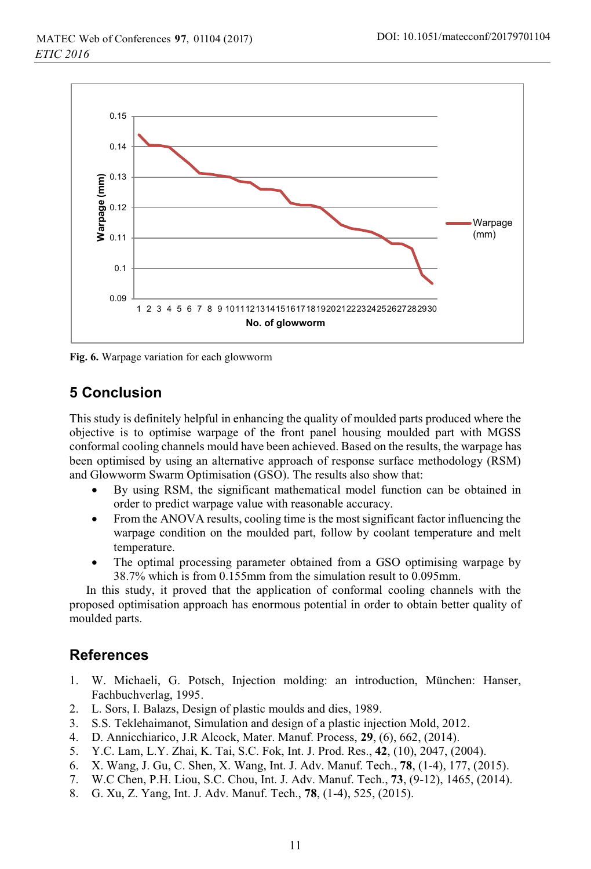

**Fig. 6.** Warpage variation for each glowworm

# **5 Conclusion**

This study is definitely helpful in enhancing the quality of moulded parts produced where the objective is to optimise warpage of the front panel housing moulded part with MGSS conformal cooling channels mould have been achieved. Based on the results, the warpage has been optimised by using an alternative approach of response surface methodology (RSM) and Glowworm Swarm Optimisation (GSO). The results also show that:

- - By using RSM, the significant mathematical model function can be obtained in order to predict warpage value with reasonable accuracy.
- - From the ANOVA results, cooling time is the most significant factor influencing the warpage condition on the moulded part, follow by coolant temperature and melt temperature.
- - The optimal processing parameter obtained from a GSO optimising warpage by 38.7% which is from 0.155mm from the simulation result to 0.095mm.

In this study, it proved that the application of conformal cooling channels with the proposed optimisation approach has enormous potential in order to obtain better quality of moulded parts.

# **References**

- 1. W. Michaeli, G. Potsch, Injection molding: an introduction, München: Hanser, Fachbuchverlag, 1995.
- 2. L. Sors, I. Balazs, Design of plastic moulds and dies, 1989.
- 3. S.S. Teklehaimanot, Simulation and design of a plastic injection Mold, 2012.
- 4. D. Annicchiarico, J.R Alcock, Mater. Manuf. Process, **29**, (6), 662, (2014).
- 5. Y.C. Lam, L.Y. Zhai, K. Tai, S.C. Fok, Int. J. Prod. Res., **42**, (10), 2047, (2004).
- 6. X. Wang, J. Gu, C. Shen, X. Wang, Int. J. Adv. Manuf. Tech., **78**, (1-4), 177, (2015).
- 7. W.C Chen, P.H. Liou, S.C. Chou, Int. J. Adv. Manuf. Tech., **73**, (9-12), 1465, (2014).
- 8. G. Xu, Z. Yang, Int. J. Adv. Manuf. Tech., **78**, (1-4), 525, (2015).